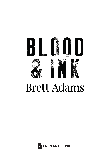

## **Brett Adams**

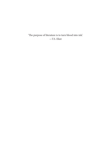'The purpose of literature is to turn blood into ink.' —T.S. Eliot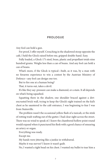## **PROLOGUE**

Any fool can hold a gun.

For proof, I offer myself. Crouching in the shadowed stoop opposite the café, I held the Glock raised before me, gripped double-hand. Easy.

Fully loaded, a Glock 17's steel, brass, plastic and propellant totals nine hundred grams. Weighs less than a can of beans. And any fool can hold a can of beans.

What's more, if the Glock is typical—built, as it was, by a man with no firearms experience to win a contest by the Austrian Ministry of Defence—any fool can design one too.

But to fire one at a human being?

That, it turns out, takes a devil.

It's like they say: pressure can make a diamond, or a stain. It all depends on what's being squashed.

Squatting there in the shadow, one shoulder braced against a dirtencrusted brick wall, trying to keep the Glock's sight trained on the kid's chest as he sauntered to the café entrance, I was beginning to fear I was from Stainsville.

The problem wasn't the occasional yellow flash of a taxicab, or the stink of rotting trash wafting out of the gutter. I had clear sight across the street. There was no wind to speak of. I knew the chambered hollow point round would expand when it punctured his flesh with a good chance of smearing an artery or organ.

Everything was ready.

Except me.

My hands were jittering like a junkie in withdrawal.

Maybe it was nerves? I know it wasn't guilt.

No, I wanted a tight bead on his chest. I wanted my bullet to tear him a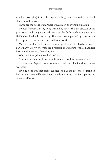new hole. Was *giddy* to see him ragdoll to the ground, and watch his blood sluice onto the street.

Those are the perks of an Angel of Death on an avenging mission.

My real fear was that my body was falling apart. That the stresses of the past weeks had caught up with me, and the flesh-machine named Jack Griffen had finally thrown a cog. That deep down, part of my constitution had ruptured. Now, when I needed it one last time.

Maybe murder took more than a professor of literature had particularly a forty-five-year-old professor of literature with a diabolical heart condition and a fear of needles.

Why not? Everything else had broken.

I strained again to still the tremble in my arms. Just one more shot.

Because—*oh, boy*—I meant to murder. Just once. First and last on my scorecard.

My one hope was that before he died, he had the presence of mind to look for me. I wanted him to know I made it. Me, Jack Griffen. I played his game. And he lost.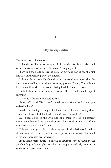## **1**

## **Fifty-six days earlier**

The knife was six inches long.

Its handle was hardwood wrapped in brass wire, its blade acid-etched with a Native American icon of a snake. A scalping knife.

Hiero laid the blade across the palm of my hand just above the first knuckle, on the fleshy part of the fingers.

In hindsight, it probably should have concerned me more when he burst into my office brandishing the knife, quoting Homer, 'The gods are hard to handle—when they come blazing forth in their true power!'

But to be honest, in the months I'd known Hiero, I had come to expect anything.

'Describe it for me, Professor,' he said.

'*Professor*?' I said. 'You haven't called me that since the first day you walked in here'

'Maybe I'm feeling nostalgic.' He leaned toward me across my desk. 'Come on. How's it feel, the blade's touch? Like a line of fire?'

This close, I noticed the livid skin of a graze on Hiero's normally immaculate forehead. But the feel of razor-keen steel on my skin left no room to consider its significance.

Fighting the urge to flinch, I shut my eyes. In the darkness I tried to shrink my world to the feel of that line of pressure on my skin. The smell of his aftershave was overpowering.

From somewhere outside a shriek of laughter echoed through the grey buildings of the English Faculty. The campus was slowly draining of students on a post-exam high.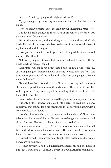'It feels …' I said, groping for the right word. 'Wet.'

My eyes snapped open, fearing for a moment that the blade had drawn blood.

'*Wet*?' he said, voice flat. 'That's the limit of your imaginative reach: *wet*?'

I nodded, a trifle guilty, and the scratch of his pen on a notebook was the only sound for a moment.

He put the pen down, and with the ghost of a smile, shifted the knife blade. He lifted it and rested the last two inches of steel across the base of my index and middle fingers.

'Now you have a choice: two fingers, or-' He angled the blade, moved it down. 'One thumb.'

Not exactly Sophie's Choice, but my mind refused to work with the blade touching me, so I stalled.

'Last time you made us drink that bottle of five-dollar wine.' (A shattering hangover eclipsed the fun of trying to write how *that* felt.) 'The time before you punched me in the neck. When are you going to threaten me with donuts?'

He withdrew the knife and sat back. From a box on my desk, he took a chocolate, popped it into his mouth, and chewed. The aroma of chocolate wafted past me. They were a gift from a failing student, but I never ate them. Hate chocolate.

I snatched my hand back, and noticed the glimmer in his eye dim a little.

But only a little—it never quite died with Hiero. He lived high octane, as crazy as that sounds for a kid meeting in the cool evening hours with a crusty professor of literature.

I watched him scratching in his notepad, and wondered if I'd miss our talks when he returned home. He was on exchange, and semester had almost finished. The next day he was flying back to the US.

'You told me to research, Jack.' His hand rested on a leather folder he'd laid on the desk, his touch almost a caress. The folder had been with him for weeks now. Its cover was brown and worn like a sailor's skin.

Research? I had. Three weeks ago. Straight after he'd told me his secret: he was writing a novel.

'Not just any novel,' he'd said. Hieronymus Beck only had one novel in him, but it would be a cracker. A *Catcher in the Rye*. An immortal novel.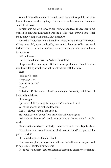When I pressed him about it, he said he didn't want to spoil it, but confessed it was a murder mystery. And since then, he'd remained uncharacteristically coy.

Tonight was my last chance to grill him, face to face. The teacher in me wanted to convince him that it was the details—the *verisimilitude*—that made a novel ring with truth. Made it endure.

More than that, I'm ashamed to admit. There was a rare spark in Hiero. If this novel did, against all odds, turn out to be a bestseller—or, God forbid, a classic—this was my last chance to be the guy who coached him to greatness.

Selfish, I know.

I took a breath and dove in. 'Who's the victim?'

His gaze settled on me again. Behind those eyes I fancied I could see his mind calculating whether or not to entrust me with his baby.

Then—

'This guy,' he said.

Progress, at last.

'How does he die?'

'Death.'

'Hilarious. Knife wound?' I said, glancing at the knife, which he had thankfully set down.

He shrugged.

I pressed. 'Bullet, strangulation, poison? You must know.'

'All of the above,' he replied, deadpan.

Gen Y—always want all the options.

He took a sheet of paper from his folder and wrote again.

'What about forensics?' I said. 'Murder always leaves a mark on the world.'

I hunched forward onto my desk, tried to coax a tell from his poker face.

'What trace evidence will your medical examiner find? Is it poison? It's poison, isn't it.'

He didn't deny it, so I latched hold.

'Poison offers plenty of ways to fork the reader's attention, but you need to be precise. Hemlock isn't arsenic.'

'Hemlock,' said Hiero, 'causes dilation of the pupils, dizziness, trembling,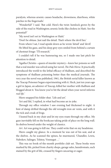paralysis, whereas arsenic causes headache, drowsiness, diarrhoea, white patches in the fingernails.'

'Wonderful!' I said. 'But cold. Here's the twist: hemlock grows by the side of the road in Washington; arsenic looks like cholera in Haiti. See the potential?'

'My novel isn't set in Washington or Haiti.'

'Don't be obtuse. Just nail the detail. That's where the devil lies.'

From where I sat, I read upside down as he wrote 'detail' and 'devil'.

He lifted his gaze, and his deep grey eyes smiled from behind a curtain of chestnut fringe: 'I'll research.'

I couldn't tell if he was humouring me, so I made one last pitch for attention to detail.

'Agatha Christie—queen of murder mystery—knew her poisons so well that a real murder was solved using her novel, *The Pale Horse*. It practically introduced the world to the lethal efficacy of thallium, and described the symptoms of thallium poisoning better than the medical journals. The very year the novel was published, 1961, the British serial killer known as the Teacup Poisoner began experimenting with it. Heck, just ten years ago a girl in Japan, an admirer of Teacup, killed her mother with thallium and blogged about it. You know you've hit the detail when your novel informs *real life.*'

Hiero snapped his folder shut. 'Life and art.'

'Art and life,' I replied, in what had become an in-joke.

Through my office window I saw evening had thickened to night. A hint of damp drifted through the old wrought-iron air vents, and with it the tick and croak of frogs.

I leaned back in my chair and let my eyes roam through my office. My gaze inevitably fell on the bookcase taking pride of place on the long wall. Its shelves bowed under the weight of classics.

Art. Art was going to kill me. They could write that on my headstone.

Hiero caught my glance. In a moment he was out of his seat, and at the shelves. As he scanned the spines, he murmured, 'Chandler, Lewis, Nabokov, Salinger, Tolstoy, Vonnegut …'

This was no book-of-the-month portfolio club set. These books were marked by life, picked from charity shops, garage sales, laundromats, each stained by the grit of life, creased by fingers uncaring or eager.